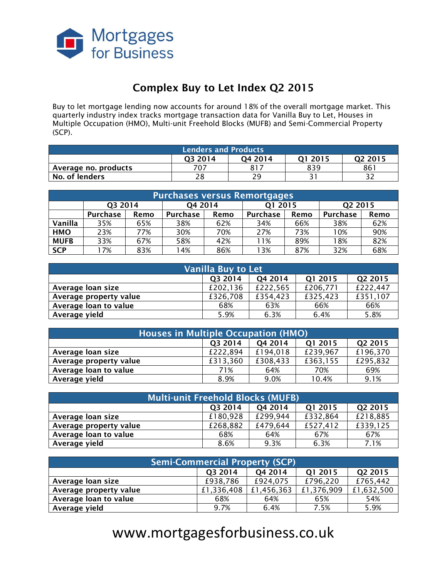

# **Complex Buy to Let Index Q2 2015**

Buy to let mortgage lending now accounts for around 18% of the overall mortgage market. This quarterly industry index tracks mortgage transaction data for Vanilla Buy to Let, Houses in Multiple Occupation (HMO), Multi-unit Freehold Blocks (MUFB) and Semi-Commercial Property (SCP).

| <b>Lenders and Products</b>                                         |     |     |     |     |  |  |  |
|---------------------------------------------------------------------|-----|-----|-----|-----|--|--|--|
| O <sub>4</sub> 2014<br>03 2014<br>Q <sub>2</sub> 2015<br>2015<br>า1 |     |     |     |     |  |  |  |
| Average no. products                                                | 707 | 817 | 839 | 861 |  |  |  |
| No. of lenders                                                      | 28  | 29  |     |     |  |  |  |

| <b>Purchases versus Remortgages</b> |          |      |          |      |                 |      |          |      |
|-------------------------------------|----------|------|----------|------|-----------------|------|----------|------|
|                                     | Q3 2014  |      | Q4 2014  |      | Q1 2015         |      | Q2 2015  |      |
|                                     | Purchase | Remo | Purchase | Remo | <b>Purchase</b> | Remo | Purchase | Remo |
| Vanilla                             | 35%      | 65%  | 38%      | 62%  | 34%             | 66%  | 38%      | 62%  |
| <b>HMO</b>                          | 23%      | 77%  | 30%      | 70%  | 27%             | 73%  | 10%      | 90%  |
| <b>MUFB</b>                         | 33%      | 67%  | 58%      | 42%  | <b>11%</b>      | 89%  | 18%      | 82%  |
| <b>SCP</b>                          | 17%      | 83%  | 14%      | 86%  | l 3%            | 87%  | 32%      | 68%  |

| <b>Vanilla Buy to Let</b>                |          |          |          |          |  |  |  |
|------------------------------------------|----------|----------|----------|----------|--|--|--|
| Q3 2014<br>Q2 2015<br>Q4 2014<br>Q1 2015 |          |          |          |          |  |  |  |
| Average loan size                        | £202,136 | £222,565 | £206,771 | £222,447 |  |  |  |
| Average property value                   | £326,708 | £354,423 | £325,423 | £351,107 |  |  |  |
| Average loan to value                    | 68%      | 63%      | 66%      | 66%      |  |  |  |
| Average yield                            | 5.9%     | 6.3%     | 6.4%     | 5.8%     |  |  |  |

| <b>Houses in Multiple Occupation (HMO)</b>           |          |          |          |          |  |  |  |
|------------------------------------------------------|----------|----------|----------|----------|--|--|--|
| Q2 2015<br>O <sub>4</sub> 2014<br>Q1 2015<br>Q3 2014 |          |          |          |          |  |  |  |
| Average loan size                                    | £222,894 | £194,018 | £239,967 | £196,370 |  |  |  |
| Average property value                               | £313,360 | £308,433 | £363,155 | £295,832 |  |  |  |
| Average loan to value                                | 71%      | 64%      | 70%      | 69%      |  |  |  |
| Average yield                                        | 8.9%     | 9.0%     | 10.4%    | 9.1%     |  |  |  |

| Multi-unit Freehold Blocks (MUFB)        |          |          |          |          |  |  |  |
|------------------------------------------|----------|----------|----------|----------|--|--|--|
| Q2 2015<br>Q3 2014<br>Q4 2014<br>Q1 2015 |          |          |          |          |  |  |  |
| Average loan size                        | £180,928 | £299,944 | £332,864 | £218,885 |  |  |  |
| Average property value                   | £268,882 | £479,644 | £527,412 | £339,125 |  |  |  |
| Average loan to value                    | 68%      | 64%      | 67%      | 67%      |  |  |  |
| Average yield                            | 8.6%     | 9.3%     | 6.3%     | 7.1%     |  |  |  |

| <b>Semi-Commercial Property (SCP)</b>    |            |            |            |            |  |  |  |
|------------------------------------------|------------|------------|------------|------------|--|--|--|
| Q2 2015<br>Q4 2014<br>Q1 2015<br>Q3 2014 |            |            |            |            |  |  |  |
| Average loan size                        | £938,786   | £924,075   | £796,220   | £765,442   |  |  |  |
| Average property value                   | £1,336,408 | £1,456,363 | £1,376,909 | £1,632,500 |  |  |  |
| Average loan to value                    | 68%        | 64%        | 65%        | 54%        |  |  |  |
| Average yield                            | 9.7%       | 6.4%       | 7.5%       | 5.9%       |  |  |  |

# [www.mortgagesforbusiness.co.uk](http://www.mortgagesforbusiness.co.uk/)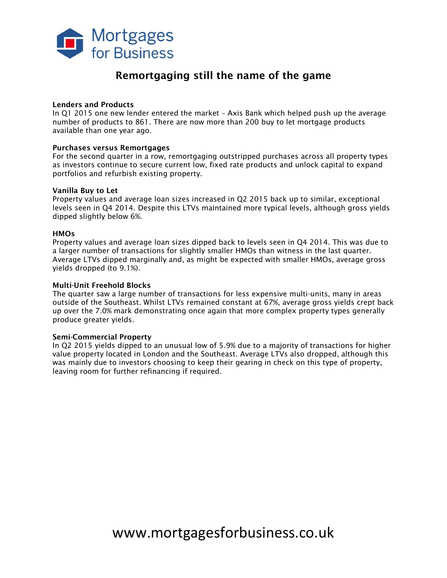

# **Remortgaging still the name of the game**

#### **Lenders and Products**

In Q1 2015 one new lender entered the market – Axis Bank which helped push up the average number of products to 861. There are now more than 200 buy to let mortgage products available than one year ago.

#### **Purchases versus Remortgages**

For the second quarter in a row, remortgaging outstripped purchases across all property types as investors continue to secure current low, fixed rate products and unlock capital to expand portfolios and refurbish existing property.

#### **Vanilla Buy to Let**

Property values and average loan sizes increased in Q2 2015 back up to similar, exceptional levels seen in Q4 2014. Despite this LTVs maintained more typical levels, although gross yields dipped slightly below 6%.

#### **HMOs**

Property values and average loan sizes dipped back to levels seen in Q4 2014. This was due to a larger number of transactions for slightly smaller HMOs than witness in the last quarter. Average LTVs dipped marginally and, as might be expected with smaller HMOs, average gross yields dropped (to 9.1%).

#### **Multi-Unit Freehold Blocks**

The quarter saw a large number of transactions for less expensive multi-units, many in areas outside of the Southeast. Whilst LTVs remained constant at 67%, average gross yields crept back up over the 7.0% mark demonstrating once again that more complex property types generally produce greater yields.

#### **Semi-Commercial Property**

In Q2 2015 yields dipped to an unusual low of 5.9% due to a majority of transactions for higher value property located in London and the Southeast. Average LTVs also dropped, although this was mainly due to investors choosing to keep their gearing in check on this type of property, leaving room for further refinancing if required.